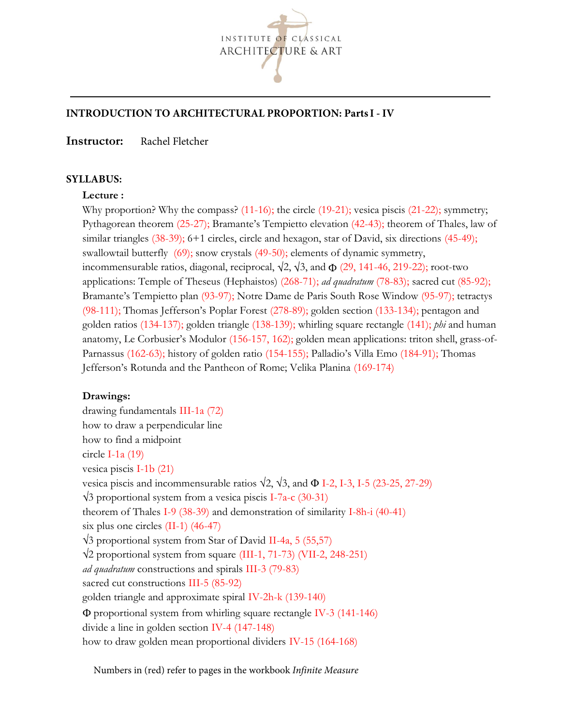

# **INTRODUCTION TO ARCHITECTURAL PROPORTION: Parts I - IV**

Instructor: Rachel Fletcher

### **SYLLABUS**:

### Lecture :

Why proportion? Why the compass? (11-16); the circle (19-21); vesica piscis (21-22); symmetry; Pythagorean theorem (25-27); Bramante's Tempietto elevation (42-43); theorem of Thales, law of similar triangles (38-39); 6+1 circles, circle and hexagon, star of David, six directions (45-49); swallowtail butterfly (69); snow crystals (49-50); elements of dynamic symmetry, incommensurable ratios, diagonal, reciprocal,  $\sqrt{2}$ ,  $\sqrt{3}$ , and  $\Phi$  (29, 141-46, 219-22); root-two applications: Temple of Theseus (Hephaistos) (268-71); ad quadratum (78-83); sacred cut (85-92); Bramante's Tempietto plan (93-97); Notre Dame de Paris South Rose Window (95-97); tetractys (98-111); Thomas Jefferson's Poplar Forest (278-89); golden section (133-134); pentagon and golden ratios (134-137); golden triangle (138-139); whirling square rectangle (141); *phi* and human anatomy, Le Corbusier's Modulor (156-157, 162); golden mean applications: triton shell, grass-of-Parnassus (162-63); history of golden ratio (154-155); Palladio's Villa Emo (184-91); Thomas Jefferson's Rotunda and the Pantheon of Rome; Velika Planina (169-174)

## Drawings:

drawing fundamentals III-1a (72) how to draw a perpendicular line how to find a midpoint circle I-1a (19) vesica piscis I-1b (21) vesica piscis and incommensurable ratios  $\sqrt{2}$ ,  $\sqrt{3}$ , and  $\Phi$  I-2, I-3, I-5 (23-25, 27-29)  $\sqrt{3}$  proportional system from a vesica piscis I-7a-c (30-31) theorem of Thales I-9 (38-39) and demonstration of similarity I-8h-i (40-41) six plus one circles (II-1) (46-47)  $\sqrt{3}$  proportional system from Star of David II-4a, 5 (55,57) 2 proportional system from square (III-1, 71-73) (VII-2, 248-251) ad quadratum constructions and spirals III-3 (79-83) sacred cut constructions III-5 (85-92) golden triangle and approximate spiral IV-2h-k (139-140) proportional system from whirling square rectangle IV-3 (141-146) divide a line in golden section IV-4 (147-148) how to draw golden mean proportional dividers IV-15 (164-168)

Numbers in (red) refer to pages in the workbook *Infinite Measure*